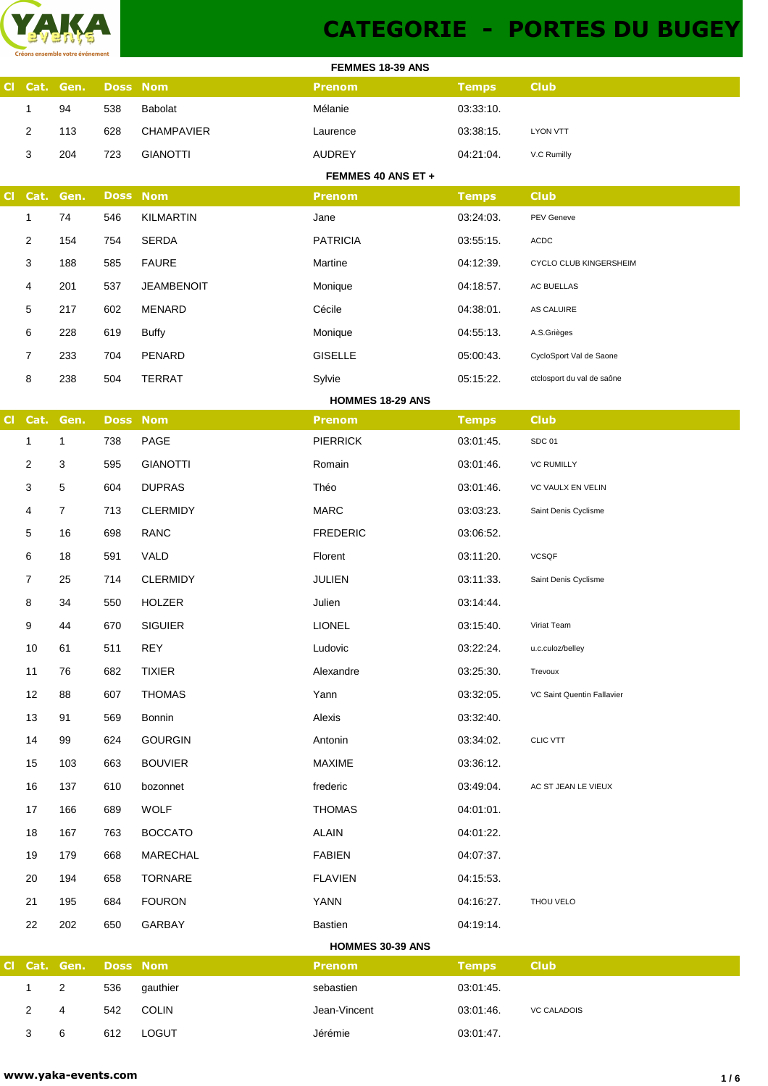

## **CATEGORIE - PORTES DU BUGEY**

| FEMMES 18-39 ANS |                |                |     |                   |                         |              |                            |  |
|------------------|----------------|----------------|-----|-------------------|-------------------------|--------------|----------------------------|--|
| CI               |                | Cat. Gen.      |     | <b>Doss Nom</b>   | <b>Prenom</b>           | <b>Temps</b> | <b>Club</b>                |  |
|                  | $\mathbf{1}$   | 94             | 538 | <b>Babolat</b>    | Mélanie                 | 03:33:10.    |                            |  |
|                  | 2              | 113            | 628 | <b>CHAMPAVIER</b> | Laurence                | 03:38:15.    | <b>LYON VTT</b>            |  |
|                  | 3              | 204            | 723 | <b>GIANOTTI</b>   | AUDREY                  | 04:21:04.    | V.C Rumilly                |  |
|                  |                |                |     |                   | FEMMES 40 ANS ET +      |              |                            |  |
| <b>CI</b>        | Cat.           | Gen.           |     | <b>Doss Nom</b>   | <b>Prenom</b>           | <b>Temps</b> | <b>Club</b>                |  |
|                  | $\mathbf{1}$   | 74             | 546 | KILMARTIN         | Jane                    | 03:24:03.    | PEV Geneve                 |  |
|                  | 2              | 154            | 754 | <b>SERDA</b>      | <b>PATRICIA</b>         | 03:55:15.    | ACDC                       |  |
|                  | 3              | 188            | 585 | <b>FAURE</b>      | Martine                 | 04:12:39.    | CYCLO CLUB KINGERSHEIM     |  |
|                  | 4              | 201            | 537 | <b>JEAMBENOIT</b> | Monique                 | 04:18:57.    | AC BUELLAS                 |  |
|                  | 5              | 217            | 602 | MENARD            | Cécile                  | 04:38:01.    | AS CALUIRE                 |  |
|                  | 6              | 228            | 619 | <b>Buffy</b>      | Monique                 | 04:55:13.    | A.S.Grièges                |  |
|                  | $\overline{7}$ | 233            | 704 | PENARD            | <b>GISELLE</b>          | 05:00:43.    | CycloSport Val de Saone    |  |
|                  | 8              | 238            | 504 | <b>TERRAT</b>     | Sylvie                  | 05:15:22.    | ctclosport du val de saône |  |
|                  |                |                |     |                   | <b>HOMMES 18-29 ANS</b> |              |                            |  |
| CI               | Cat.           | Gen.           |     | <b>Doss Nom</b>   | <b>Prenom</b>           | <b>Temps</b> | <b>Club</b>                |  |
|                  | $\mathbf{1}$   | $\mathbf{1}$   | 738 | PAGE              | <b>PIERRICK</b>         | 03:01:45.    | <b>SDC 01</b>              |  |
|                  | 2              | 3              | 595 | <b>GIANOTTI</b>   | Romain                  | 03:01:46.    | <b>VC RUMILLY</b>          |  |
|                  | 3              | 5              | 604 | <b>DUPRAS</b>     | Théo                    | 03:01:46.    | VC VAULX EN VELIN          |  |
|                  | 4              | $\overline{7}$ | 713 | <b>CLERMIDY</b>   | MARC                    | 03:03:23.    | Saint Denis Cyclisme       |  |
|                  | 5              | 16             | 698 | <b>RANC</b>       | <b>FREDERIC</b>         | 03:06:52.    |                            |  |
|                  | 6              | 18             | 591 | VALD              | Florent                 | 03:11:20.    | <b>VCSQF</b>               |  |
|                  | 7              | 25             | 714 | <b>CLERMIDY</b>   | <b>JULIEN</b>           | 03:11:33.    | Saint Denis Cyclisme       |  |
|                  | 8              | 34             | 550 | <b>HOLZER</b>     | Julien                  | 03:14:44.    |                            |  |
|                  | 9              | 44             | 670 | <b>SIGUIER</b>    | <b>LIONEL</b>           | 03:15:40.    | Viriat Team                |  |
|                  | 10             | 61             | 511 | <b>REY</b>        | Ludovic                 | 03:22:24.    | u.c.culoz/belley           |  |
|                  | 11             | 76             | 682 | <b>TIXIER</b>     | Alexandre               | 03:25:30.    | Trevoux                    |  |
|                  | 12             | 88             | 607 | <b>THOMAS</b>     | Yann                    | 03:32:05.    | VC Saint Quentin Fallavier |  |
|                  | 13             | 91             | 569 | <b>Bonnin</b>     | Alexis                  | 03:32:40.    |                            |  |
|                  | 14             | 99             | 624 | <b>GOURGIN</b>    | Antonin                 | 03:34:02.    | <b>CLIC VTT</b>            |  |
|                  | 15             | 103            | 663 | <b>BOUVIER</b>    | <b>MAXIME</b>           | 03:36:12.    |                            |  |
|                  | 16             | 137            | 610 | bozonnet          | frederic                | 03:49:04.    | AC ST JEAN LE VIEUX        |  |
|                  | 17             | 166            | 689 | <b>WOLF</b>       | <b>THOMAS</b>           | 04:01:01.    |                            |  |
|                  | 18             | 167            | 763 | <b>BOCCATO</b>    | <b>ALAIN</b>            | 04:01:22.    |                            |  |
|                  | 19             | 179            | 668 | MARECHAL          | <b>FABIEN</b>           | 04:07:37.    |                            |  |
|                  | 20             | 194            | 658 | <b>TORNARE</b>    | <b>FLAVIEN</b>          | 04:15:53.    |                            |  |
|                  | 21             | 195            | 684 | <b>FOURON</b>     | <b>YANN</b>             | 04:16:27.    | THOU VELO                  |  |
|                  | 22             | 202            | 650 | GARBAY            | <b>Bastien</b>          | 04:19:14.    |                            |  |
|                  |                |                |     |                   | HOMMES 30-39 ANS        |              |                            |  |
| CI.              |                | Cat. Gen.      |     | <b>Doss Nom</b>   | <b>Prenom</b>           | <b>Temps</b> | <b>Club</b>                |  |
|                  | $\mathbf{1}$   | $\overline{2}$ | 536 | gauthier          | sebastien               | 03:01:45.    |                            |  |
|                  | 2              | 4              | 542 | COLIN             | Jean-Vincent            | 03:01:46.    | <b>VC CALADOIS</b>         |  |
|                  | 3              | 6              | 612 | LOGUT             | Jérémie                 | 03:01:47.    |                            |  |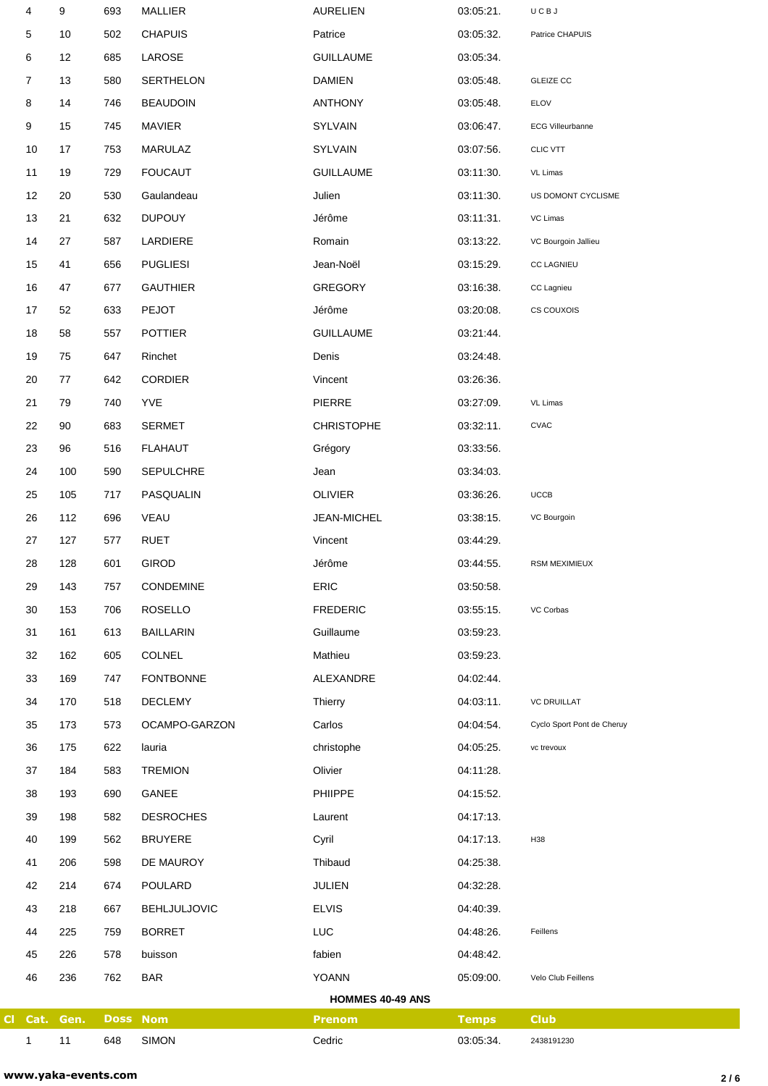|           | 4            | 9    | 693         | <b>MALLIER</b>      | <b>AURELIEN</b>         | 03:05:21.    | UCBJ                       |
|-----------|--------------|------|-------------|---------------------|-------------------------|--------------|----------------------------|
|           | 5            | 10   | 502         | <b>CHAPUIS</b>      | Patrice                 | 03:05:32.    | Patrice CHAPUIS            |
|           | 6            | 12   | 685         | LAROSE              | <b>GUILLAUME</b>        | 03:05:34.    |                            |
|           | 7            | 13   | 580         | <b>SERTHELON</b>    | <b>DAMIEN</b>           | 03:05:48.    | <b>GLEIZE CC</b>           |
|           | 8            | 14   | 746         | <b>BEAUDOIN</b>     | <b>ANTHONY</b>          | 03:05:48.    | ELOV                       |
|           | 9            | 15   | 745         | <b>MAVIER</b>       | SYLVAIN                 | 03:06:47.    | <b>ECG Villeurbanne</b>    |
|           | 10           | 17   | 753         | <b>MARULAZ</b>      | <b>SYLVAIN</b>          | 03:07:56.    | <b>CLIC VTT</b>            |
|           | 11           | 19   | 729         | <b>FOUCAUT</b>      | <b>GUILLAUME</b>        | 03:11:30.    | VL Limas                   |
|           | 12           | 20   | 530         | Gaulandeau          | Julien                  | 03:11:30.    | US DOMONT CYCLISME         |
|           | 13           | 21   | 632         | <b>DUPOUY</b>       | Jérôme                  | 03:11:31.    | VC Limas                   |
|           | 14           | 27   | 587         | LARDIERE            | Romain                  | 03:13:22.    | VC Bourgoin Jallieu        |
|           | 15           | 41   | 656         | <b>PUGLIESI</b>     | Jean-Noël               | 03:15:29.    | <b>CC LAGNIEU</b>          |
|           | 16           | 47   | 677         | <b>GAUTHIER</b>     | <b>GREGORY</b>          | 03:16:38.    | CC Lagnieu                 |
|           | 17           | 52   | 633         | <b>PEJOT</b>        | Jérôme                  | 03:20:08.    | CS COUXOIS                 |
|           | 18           | 58   | 557         | <b>POTTIER</b>      | <b>GUILLAUME</b>        | 03:21:44.    |                            |
|           | 19           | 75   | 647         | Rinchet             | Denis                   | 03:24:48.    |                            |
|           | 20           | 77   | 642         | <b>CORDIER</b>      | Vincent                 | 03:26:36.    |                            |
|           | 21           | 79   | 740         | <b>YVE</b>          | PIERRE                  | 03:27:09.    | VL Limas                   |
|           | 22           | 90   | 683         | <b>SERMET</b>       | <b>CHRISTOPHE</b>       | 03:32:11.    | <b>CVAC</b>                |
|           | 23           | 96   | 516         | <b>FLAHAUT</b>      | Grégory                 | 03:33:56.    |                            |
|           | 24           | 100  | 590         | <b>SEPULCHRE</b>    | Jean                    | 03:34:03.    |                            |
|           | 25           | 105  | 717         | PASQUALIN           | OLIVIER                 | 03:36:26.    | UCCB                       |
|           | 26           | 112  | 696         | VEAU                | JEAN-MICHEL             | 03:38:15.    | VC Bourgoin                |
|           | 27           | 127  | 577         | <b>RUET</b>         | Vincent                 | 03:44:29.    |                            |
|           | 28           | 128  | 601         | <b>GIROD</b>        | Jérôme                  | 03:44:55.    | <b>RSM MEXIMIEUX</b>       |
|           | 29           | 143  | 757         | CONDEMINE           | ERIC                    | 03:50:58.    |                            |
|           | 30           | 153  | 706         | <b>ROSELLO</b>      | <b>FREDERIC</b>         | 03:55:15.    | VC Corbas                  |
|           | 31           | 161  | 613         | <b>BAILLARIN</b>    | Guillaume               | 03:59:23.    |                            |
|           | 32           | 162  | 605         | <b>COLNEL</b>       | Mathieu                 | 03:59:23.    |                            |
|           | 33           | 169  | 747         | <b>FONTBONNE</b>    | ALEXANDRE               | 04:02:44.    |                            |
|           | 34           | 170  | 518         | <b>DECLEMY</b>      | Thierry                 | 04:03:11.    | <b>VC DRUILLAT</b>         |
|           | 35           | 173  | 573         | OCAMPO-GARZON       | Carlos                  | 04:04:54.    | Cyclo Sport Pont de Cheruy |
|           | 36           | 175  | 622         | lauria              | christophe              | 04:05:25.    | vc trevoux                 |
|           | 37           | 184  | 583         | <b>TREMION</b>      | Olivier                 | 04:11:28.    |                            |
|           | 38           | 193  | 690         | GANEE               | PHIIPPE                 | 04:15:52.    |                            |
|           | 39           | 198  | 582         | <b>DESROCHES</b>    | Laurent                 | 04:17:13.    |                            |
|           | 40           | 199  | 562         | <b>BRUYERE</b>      | Cyril                   | 04:17:13.    | H38                        |
|           | 41           | 206  | 598         | DE MAUROY           | Thibaud                 | 04:25:38.    |                            |
|           | 42           | 214  | 674         | POULARD             | <b>JULIEN</b>           | 04:32:28.    |                            |
|           | 43           | 218  | 667         | <b>BEHLJULJOVIC</b> | <b>ELVIS</b>            | 04:40:39.    |                            |
|           | 44           | 225  | 759         | <b>BORRET</b>       | LUC                     | 04:48:26.    | Feillens                   |
|           | 45           | 226  | 578         | buisson             | fabien                  | 04:48:42.    |                            |
|           | 46           | 236  | 762         | <b>BAR</b>          | YOANN                   | 05:09:00.    | Velo Club Feillens         |
|           |              |      |             |                     | <b>HOMMES 40-49 ANS</b> |              |                            |
| <b>CI</b> | Cat.         | Gen. | <b>Doss</b> | <b>Nom</b>          | <b>Prenom</b>           | <b>Temps</b> | <b>Club</b>                |
|           | $\mathbf{1}$ | 11   | 648         | <b>SIMON</b>        | Cedric                  | 03:05:34.    | 2438191230                 |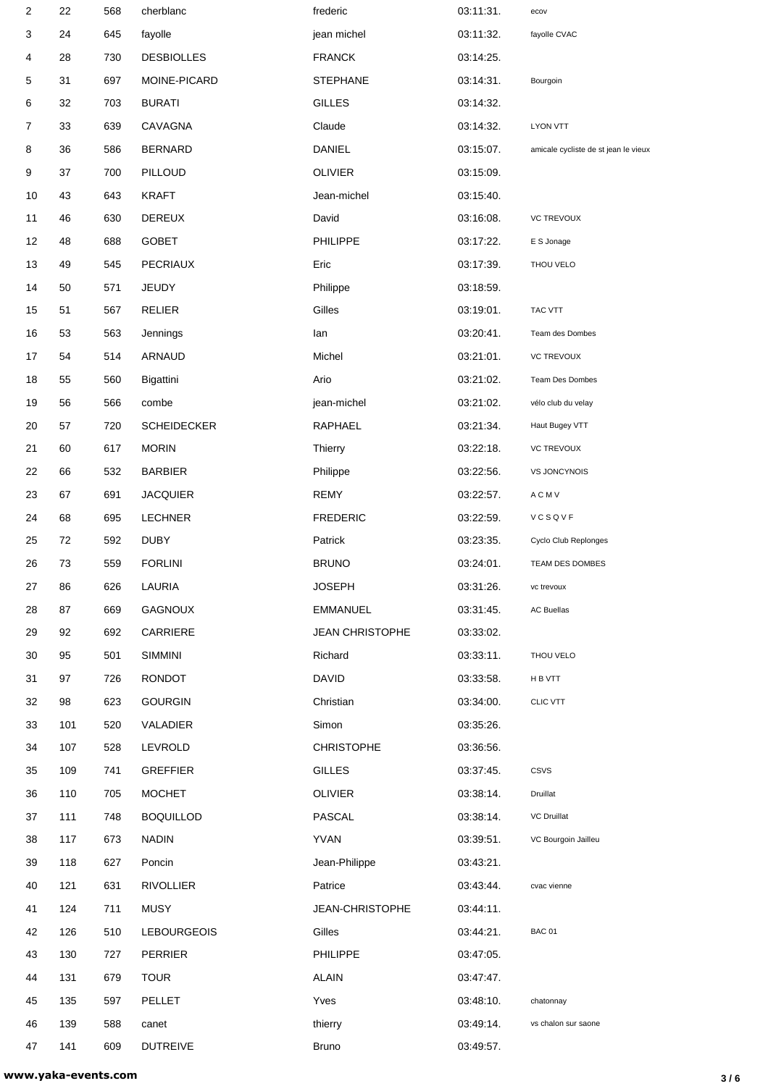| $\overline{c}$ | 22  | 568 | cherblanc          | frederic               | 03:11:31. | ecov                                 |
|----------------|-----|-----|--------------------|------------------------|-----------|--------------------------------------|
| 3              | 24  | 645 | fayolle            | jean michel            | 03:11:32. | fayolle CVAC                         |
| 4              | 28  | 730 | <b>DESBIOLLES</b>  | <b>FRANCK</b>          | 03:14:25. |                                      |
| 5              | 31  | 697 | MOINE-PICARD       | <b>STEPHANE</b>        | 03:14:31. | Bourgoin                             |
| 6              | 32  | 703 | <b>BURATI</b>      | <b>GILLES</b>          | 03:14:32. |                                      |
| 7              | 33  | 639 | CAVAGNA            | Claude                 | 03:14:32. | <b>LYON VTT</b>                      |
| 8              | 36  | 586 | <b>BERNARD</b>     | DANIEL                 | 03:15:07. | amicale cycliste de st jean le vieux |
| 9              | 37  | 700 | PILLOUD            | <b>OLIVIER</b>         | 03:15:09. |                                      |
| 10             | 43  | 643 | <b>KRAFT</b>       | Jean-michel            | 03:15:40. |                                      |
| 11             | 46  | 630 | <b>DEREUX</b>      | David                  | 03:16:08. | <b>VC TREVOUX</b>                    |
| 12             | 48  | 688 | <b>GOBET</b>       | <b>PHILIPPE</b>        | 03:17:22. | E S Jonage                           |
| 13             | 49  | 545 | <b>PECRIAUX</b>    | Eric                   | 03:17:39. | THOU VELO                            |
| 14             | 50  | 571 | <b>JEUDY</b>       | Philippe               | 03:18:59. |                                      |
| 15             | 51  | 567 | <b>RELIER</b>      | Gilles                 | 03:19:01. | TAC VTT                              |
| 16             | 53  | 563 | Jennings           | lan                    | 03:20:41. | Team des Dombes                      |
| 17             | 54  | 514 | ARNAUD             | Michel                 | 03:21:01. | <b>VC TREVOUX</b>                    |
| 18             | 55  | 560 | Bigattini          | Ario                   | 03:21:02. | Team Des Dombes                      |
| 19             | 56  | 566 | combe              | jean-michel            | 03:21:02. | vélo club du velay                   |
| 20             | 57  | 720 | <b>SCHEIDECKER</b> | RAPHAEL                | 03:21:34. | Haut Bugey VTT                       |
| 21             | 60  | 617 | <b>MORIN</b>       | Thierry                | 03:22:18. | <b>VC TREVOUX</b>                    |
| 22             | 66  | 532 | <b>BARBIER</b>     | Philippe               | 03:22:56. | VS JONCYNOIS                         |
| 23             | 67  | 691 | <b>JACQUIER</b>    | <b>REMY</b>            | 03:22:57. | A C M V                              |
| 24             | 68  | 695 | <b>LECHNER</b>     | <b>FREDERIC</b>        | 03:22:59. | VCSQVF                               |
| 25             | 72  | 592 | <b>DUBY</b>        | Patrick                | 03:23:35. | Cyclo Club Replonges                 |
| 26             | 73  | 559 | <b>FORLINI</b>     | <b>BRUNO</b>           | 03:24:01. | TEAM DES DOMBES                      |
| 27             | 86  | 626 | LAURIA             | <b>JOSEPH</b>          | 03:31:26. | vc trevoux                           |
| 28             | 87  | 669 | GAGNOUX            | <b>EMMANUEL</b>        | 03:31:45. | <b>AC Buellas</b>                    |
| 29             | 92  | 692 | CARRIERE           | <b>JEAN CHRISTOPHE</b> | 03:33:02. |                                      |
| 30             | 95  | 501 | <b>SIMMINI</b>     | Richard                | 03:33:11. | THOU VELO                            |
| 31             | 97  | 726 | <b>RONDOT</b>      | <b>DAVID</b>           | 03:33:58. | H B VTT                              |
| 32             | 98  | 623 | <b>GOURGIN</b>     | Christian              | 03:34:00. | <b>CLIC VTT</b>                      |
| 33             | 101 | 520 | VALADIER           | Simon                  | 03:35:26. |                                      |
| 34             | 107 | 528 | LEVROLD            | <b>CHRISTOPHE</b>      | 03:36:56. |                                      |
| 35             | 109 | 741 | <b>GREFFIER</b>    | <b>GILLES</b>          | 03:37:45. | CSVS                                 |
| 36             | 110 | 705 | <b>MOCHET</b>      | <b>OLIVIER</b>         | 03:38:14. | Druillat                             |
| 37             | 111 | 748 | <b>BOQUILLOD</b>   | PASCAL                 | 03:38:14. | VC Druillat                          |
| 38             | 117 | 673 | <b>NADIN</b>       | <b>YVAN</b>            | 03:39:51. | VC Bourgoin Jailleu                  |
| 39             | 118 | 627 | Poncin             | Jean-Philippe          | 03:43:21. |                                      |
| 40             | 121 | 631 | <b>RIVOLLIER</b>   | Patrice                | 03:43:44. | cvac vienne                          |
| 41             | 124 | 711 | <b>MUSY</b>        | JEAN-CHRISTOPHE        | 03:44:11. |                                      |
| 42             | 126 | 510 | <b>LEBOURGEOIS</b> | Gilles                 | 03:44:21. | <b>BAC 01</b>                        |
| 43             | 130 | 727 | PERRIER            | <b>PHILIPPE</b>        | 03:47:05. |                                      |
| 44             | 131 | 679 | <b>TOUR</b>        | <b>ALAIN</b>           | 03:47:47. |                                      |
| 45             | 135 | 597 | PELLET             | Yves                   | 03:48:10. | chatonnay                            |
| 46             | 139 | 588 | canet              | thierry                | 03:49:14. | vs chalon sur saone                  |
| 47             | 141 | 609 | <b>DUTREIVE</b>    | Bruno                  | 03:49:57. |                                      |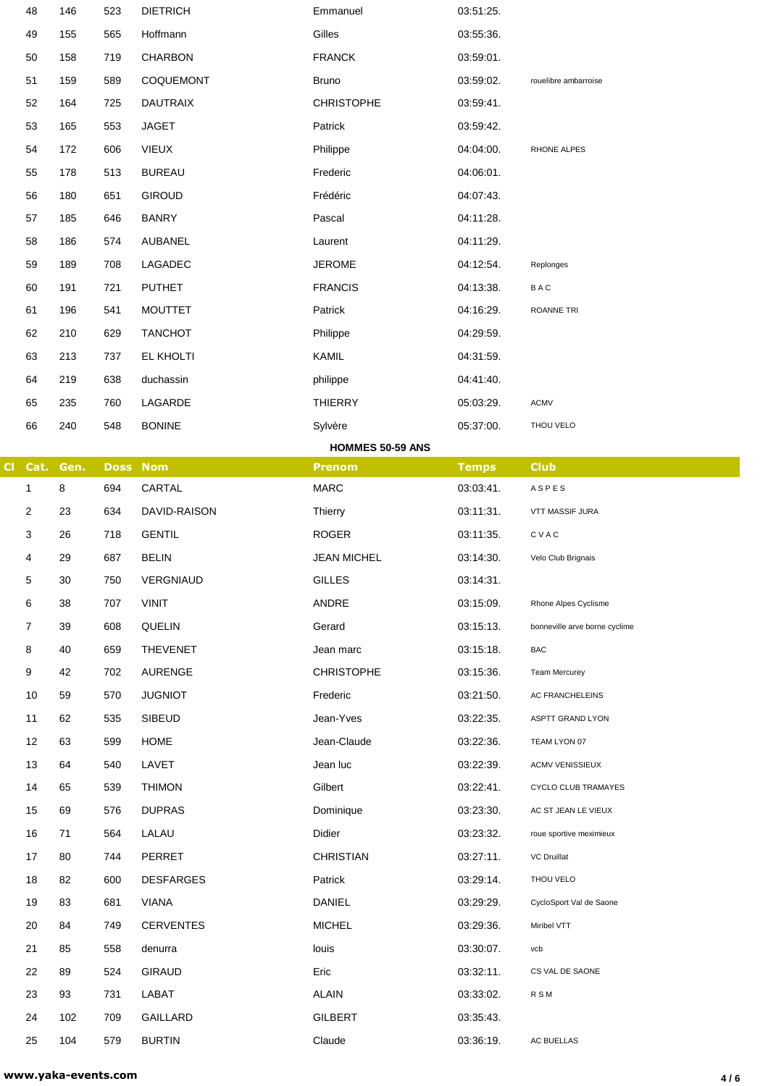|           | 48               | 146  | 523 | <b>DIETRICH</b>  | Emmanuel           | 03:51:25.    |                               |
|-----------|------------------|------|-----|------------------|--------------------|--------------|-------------------------------|
|           | 49               | 155  | 565 | Hoffmann         | Gilles             | 03:55:36.    |                               |
|           | 50               | 158  | 719 | CHARBON          | <b>FRANCK</b>      | 03:59:01.    |                               |
|           | 51               | 159  | 589 | COQUEMONT        | Bruno              | 03:59:02.    | rouelibre ambarroise          |
|           | 52               | 164  | 725 | <b>DAUTRAIX</b>  | <b>CHRISTOPHE</b>  | 03:59:41.    |                               |
|           | 53               | 165  | 553 | <b>JAGET</b>     | Patrick            | 03:59:42.    |                               |
|           | 54               | 172  | 606 | <b>VIEUX</b>     | Philippe           | 04:04:00.    | RHONE ALPES                   |
|           | 55               | 178  | 513 | <b>BUREAU</b>    | Frederic           | 04:06:01.    |                               |
|           | 56               | 180  | 651 | <b>GIROUD</b>    | Frédéric           | 04:07:43.    |                               |
|           | 57               | 185  | 646 | <b>BANRY</b>     | Pascal             | 04:11:28.    |                               |
|           | 58               | 186  | 574 | AUBANEL          | Laurent            | 04:11:29.    |                               |
|           | 59               | 189  | 708 | LAGADEC          | <b>JEROME</b>      | 04:12:54.    | Replonges                     |
|           | 60               | 191  | 721 | <b>PUTHET</b>    | <b>FRANCIS</b>     | 04:13:38.    | BAC                           |
|           | 61               | 196  | 541 | <b>MOUTTET</b>   | Patrick            | 04:16:29.    | <b>ROANNE TRI</b>             |
|           | 62               | 210  | 629 | <b>TANCHOT</b>   | Philippe           | 04:29:59.    |                               |
|           | 63               | 213  | 737 | EL KHOLTI        | KAMIL              | 04:31:59.    |                               |
|           | 64               | 219  | 638 | duchassin        | philippe           | 04:41:40.    |                               |
|           | 65               | 235  | 760 | LAGARDE          | <b>THIERRY</b>     | 05:03:29.    | <b>ACMV</b>                   |
|           | 66               | 240  | 548 | <b>BONINE</b>    | Sylvère            | 05:37:00.    | THOU VELO                     |
|           |                  |      |     |                  | HOMMES 50-59 ANS   |              |                               |
| <b>CI</b> | Cat.             | Gen. |     | <b>Doss Nom</b>  | <b>Prenom</b>      | <b>Temps</b> | <b>Club</b>                   |
|           | 1                | 8    | 694 | CARTAL           | <b>MARC</b>        | 03:03:41.    | ASPES                         |
|           | 2                | 23   | 634 | DAVID-RAISON     | Thierry            | 03:11:31.    | VTT MASSIF JURA               |
|           |                  |      |     |                  |                    |              |                               |
|           | 3                | 26   | 718 | <b>GENTIL</b>    | <b>ROGER</b>       | 03:11:35.    | CVAC                          |
|           | 4                | 29   | 687 | <b>BELIN</b>     | <b>JEAN MICHEL</b> | 03:14:30.    | Velo Club Brignais            |
|           | 5                | 30   | 750 | VERGNIAUD        | <b>GILLES</b>      | 03:14:31.    |                               |
|           | 6                | 38   | 707 | <b>VINIT</b>     | ANDRE              | 03:15:09.    | Rhone Alpes Cyclisme          |
|           | 7                | 39   | 608 | QUELIN           | Gerard             | 03:15:13.    | bonneville arve borne cyclime |
|           | 8                | 40   | 659 | <b>THEVENET</b>  | Jean marc          | 03:15:18.    | BAC                           |
|           | $\boldsymbol{9}$ | 42   | 702 | <b>AURENGE</b>   | <b>CHRISTOPHE</b>  | 03:15:36.    | Team Mercurey                 |
|           | 10               | 59   | 570 | <b>JUGNIOT</b>   | Frederic           | 03:21:50.    | AC FRANCHELEINS               |
|           | 11               | 62   | 535 | <b>SIBEUD</b>    | Jean-Yves          | 03:22:35.    | ASPTT GRAND LYON              |
|           | 12               | 63   | 599 | <b>HOME</b>      | Jean-Claude        | 03:22:36.    | TEAM LYON 07                  |
|           | 13               | 64   | 540 | LAVET            | Jean luc           | 03:22:39.    | <b>ACMV VENISSIEUX</b>        |
|           | 14               | 65   | 539 | <b>THIMON</b>    | Gilbert            | 03:22:41.    | CYCLO CLUB TRAMAYES           |
|           | 15               | 69   | 576 | <b>DUPRAS</b>    | Dominique          | 03:23:30.    | AC ST JEAN LE VIEUX           |
|           | 16               | 71   | 564 | LALAU            | Didier             | 03:23:32.    | roue sportive meximieux       |
|           | 17               | 80   | 744 | PERRET           | <b>CHRISTIAN</b>   | 03:27:11.    | <b>VC Druillat</b>            |
|           | 18               | 82   | 600 | <b>DESFARGES</b> | Patrick            | 03:29:14.    | THOU VELO                     |
|           | 19               | 83   | 681 | VIANA            | <b>DANIEL</b>      | 03:29:29.    | CycloSport Val de Saone       |
|           | 20               | 84   | 749 | <b>CERVENTES</b> | <b>MICHEL</b>      | 03:29:36.    | Miribel VTT                   |
|           | 21               | 85   | 558 | denurra          | louis              | 03:30:07.    | vcb                           |
|           | 22               | 89   | 524 | <b>GIRAUD</b>    | Eric               | 03:32:11.    | CS VAL DE SAONE               |
|           | 23               | 93   | 731 | LABAT            | <b>ALAIN</b>       | 03:33:02.    | <b>RSM</b>                    |
|           | 24               | 102  | 709 | <b>GAILLARD</b>  | <b>GILBERT</b>     | 03:35:43.    |                               |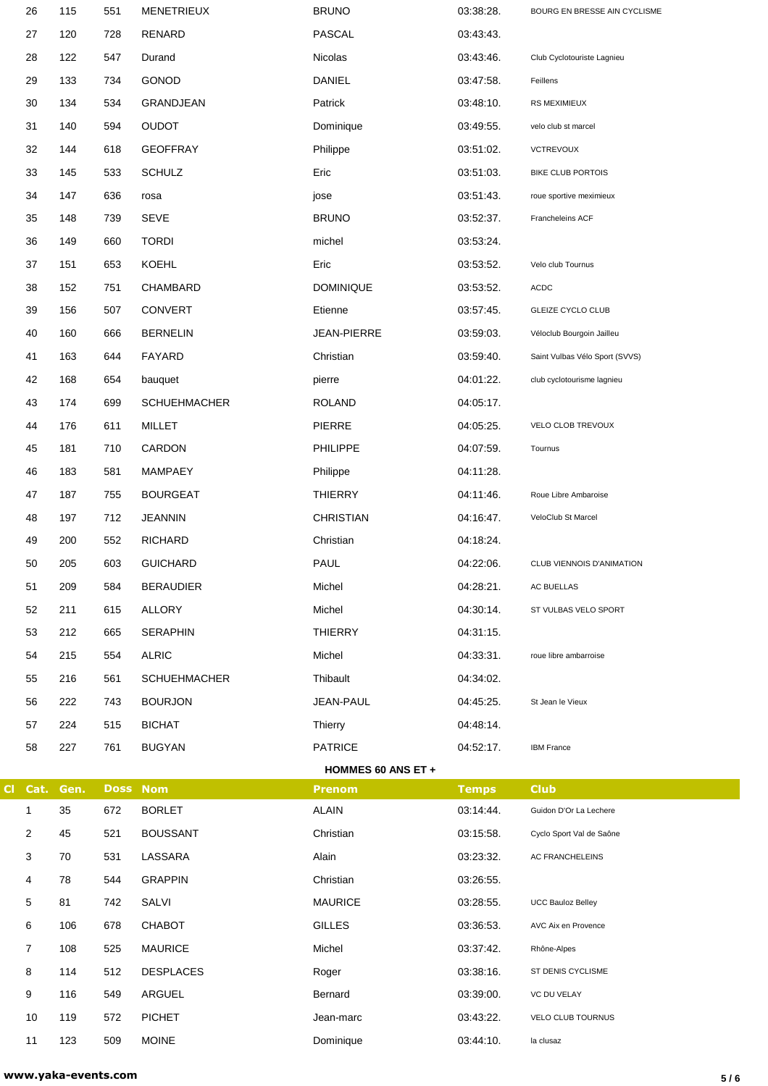|           | 26   | 115  | 551             | <b>MENETRIEUX</b>   | <b>BRUNO</b>              | 03:38:28.    | BOURG EN BRESSE AIN CYCLISME   |
|-----------|------|------|-----------------|---------------------|---------------------------|--------------|--------------------------------|
|           | 27   | 120  | 728             | RENARD              | <b>PASCAL</b>             | 03:43:43.    |                                |
|           | 28   | 122  | 547             | Durand              | Nicolas                   | 03:43:46.    | Club Cyclotouriste Lagnieu     |
|           | 29   | 133  | 734             | GONOD               | DANIEL                    | 03:47:58.    | Feillens                       |
|           | 30   | 134  | 534             | GRANDJEAN           | Patrick                   | 03:48:10.    | RS MEXIMIEUX                   |
|           | 31   | 140  | 594             | <b>OUDOT</b>        | Dominique                 | 03:49:55.    | velo club st marcel            |
|           | 32   | 144  | 618             | <b>GEOFFRAY</b>     | Philippe                  | 03:51:02.    | <b>VCTREVOUX</b>               |
|           | 33   | 145  | 533             | <b>SCHULZ</b>       | Eric                      | 03:51:03.    | <b>BIKE CLUB PORTOIS</b>       |
|           | 34   | 147  | 636             | rosa                | jose                      | 03:51:43.    | roue sportive meximieux        |
|           | 35   | 148  | 739             | <b>SEVE</b>         | <b>BRUNO</b>              | 03:52:37.    | Francheleins ACF               |
|           | 36   | 149  | 660             | <b>TORDI</b>        | michel                    | 03:53:24.    |                                |
|           | 37   | 151  | 653             | <b>KOEHL</b>        | Eric                      | 03:53:52.    | Velo club Tournus              |
|           | 38   | 152  | 751             | CHAMBARD            | <b>DOMINIQUE</b>          | 03:53:52.    | <b>ACDC</b>                    |
|           | 39   | 156  | 507             | <b>CONVERT</b>      | Etienne                   | 03:57:45.    | GLEIZE CYCLO CLUB              |
|           | 40   | 160  | 666             | <b>BERNELIN</b>     | <b>JEAN-PIERRE</b>        | 03:59:03.    | Véloclub Bourgoin Jailleu      |
|           | 41   | 163  | 644             | FAYARD              | Christian                 | 03:59:40.    | Saint Vulbas Vélo Sport (SVVS) |
|           | 42   | 168  | 654             | bauquet             | pierre                    | 04:01:22.    | club cyclotourisme lagnieu     |
|           | 43   | 174  | 699             | <b>SCHUEHMACHER</b> | <b>ROLAND</b>             | 04:05:17.    |                                |
|           | 44   | 176  | 611             | <b>MILLET</b>       | <b>PIERRE</b>             | 04:05:25.    | VELO CLOB TREVOUX              |
|           | 45   | 181  | 710             | CARDON              | PHILIPPE                  | 04:07:59.    | Tournus                        |
|           | 46   | 183  | 581             | MAMPAEY             | Philippe                  | 04:11:28.    |                                |
|           | 47   | 187  | 755             | <b>BOURGEAT</b>     | <b>THIERRY</b>            | 04:11:46.    | Roue Libre Ambaroise           |
|           | 48   | 197  | 712             | <b>JEANNIN</b>      | <b>CHRISTIAN</b>          | 04:16:47.    | VeloClub St Marcel             |
|           | 49   | 200  | 552             | <b>RICHARD</b>      | Christian                 | 04:18:24.    |                                |
|           | 50   | 205  | 603             | <b>GUICHARD</b>     | PAUL                      | 04:22:06.    | CLUB VIENNOIS D'ANIMATION      |
|           | 51   | 209  | 584             | <b>BERAUDIER</b>    | Michel                    | 04:28:21.    | AC BUELLAS                     |
|           | 52   | 211  | 615             | <b>ALLORY</b>       | Michel                    | 04:30:14.    | ST VULBAS VELO SPORT           |
|           | 53   | 212  | 665             | <b>SERAPHIN</b>     | <b>THIERRY</b>            | 04:31:15.    |                                |
|           | 54   | 215  | 554             | <b>ALRIC</b>        | Michel                    | 04:33:31.    | roue libre ambarroise          |
|           | 55   | 216  | 561             | <b>SCHUEHMACHER</b> | Thibault                  | 04:34:02.    |                                |
|           | 56   | 222  | 743             | <b>BOURJON</b>      | JEAN-PAUL                 | 04:45:25.    | St Jean le Vieux               |
|           | 57   | 224  | 515             | <b>BICHAT</b>       | Thierry                   | 04:48:14.    |                                |
|           | 58   | 227  | 761             | <b>BUGYAN</b>       | <b>PATRICE</b>            | 04:52:17.    | <b>IBM France</b>              |
|           |      |      |                 |                     | <b>HOMMES 60 ANS ET +</b> |              |                                |
| <b>CI</b> | Cat. | Gen. | <b>Doss Nom</b> |                     | <b>Prenom</b>             | <b>Temps</b> | <b>Club</b>                    |
|           | 1    | 35   | 672             | <b>BORLET</b>       | <b>ALAIN</b>              | 03:14:44.    | Guidon D'Or La Lechere         |
|           | 2    | 45   | 521             | <b>BOUSSANT</b>     | Christian                 | 03:15:58.    | Cyclo Sport Val de Saône       |
|           | 3    | 70   | 531             | LASSARA             | Alain                     | 03:23:32.    | AC FRANCHELEINS                |
|           | 4    | 78   | 544             | <b>GRAPPIN</b>      | Christian                 | 03:26:55.    |                                |
|           | 5    | 81   | 742             | SALVI               | <b>MAURICE</b>            | 03:28:55.    | <b>UCC Bauloz Belley</b>       |
|           | 6    | 106  | 678             | CHABOT              | <b>GILLES</b>             | 03:36:53.    | AVC Aix en Provence            |
|           | 7    | 108  | 525             | <b>MAURICE</b>      | Michel                    | 03:37:42.    | Rhône-Alpes                    |
|           | 8    | 114  | 512             | <b>DESPLACES</b>    | Roger                     | 03:38:16.    | ST DENIS CYCLISME              |
|           | 9    | 116  | 549             | ARGUEL              | Bernard                   | 03:39:00.    | VC DU VELAY                    |
|           | 10   | 119  | 572             | <b>PICHET</b>       | Jean-marc                 | 03:43:22.    | VELO CLUB TOURNUS              |
|           | 11   | 123  | 509             | <b>MOINE</b>        | Dominique                 | 03:44:10.    | la clusaz                      |
|           |      |      |                 |                     |                           |              |                                |